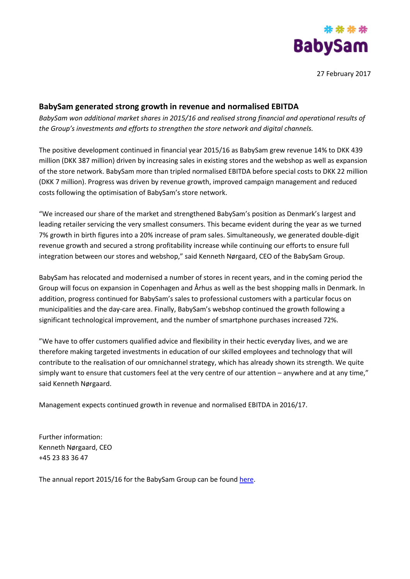

27 February 2017

## **BabySam generated strong growth in revenue and normalised EBITDA**

*BabySam won additional market shares in 2015/16 and realised strong financial and operational results of the Group's investments and efforts to strengthen the store network and digital channels.*

The positive development continued in financial year 2015/16 as BabySam grew revenue 14% to DKK 439 million (DKK 387 million) driven by increasing sales in existing stores and the webshop as well as expansion of the store network. BabySam more than tripled normalised EBITDA before special costs to DKK 22 million (DKK 7 million). Progress was driven by revenue growth, improved campaign management and reduced costs following the optimisation of BabySam's store network.

"We increased our share of the market and strengthened BabySam's position as Denmark's largest and leading retailer servicing the very smallest consumers. This became evident during the year as we turned 7% growth in birth figures into a 20% increase of pram sales. Simultaneously, we generated double-digit revenue growth and secured a strong profitability increase while continuing our efforts to ensure full integration between our stores and webshop," said Kenneth Nørgaard, CEO of the BabySam Group.

BabySam has relocated and modernised a number of stores in recent years, and in the coming period the Group will focus on expansion in Copenhagen and Århus as well as the best shopping malls in Denmark. In addition, progress continued for BabySam's sales to professional customers with a particular focus on municipalities and the day-care area. Finally, BabySam's webshop continued the growth following a significant technological improvement, and the number of smartphone purchases increased 72%.

"We have to offer customers qualified advice and flexibility in their hectic everyday lives, and we are therefore making targeted investments in education of our skilled employees and technology that will contribute to the realisation of our omnichannel strategy, which has already shown its strength. We quite simply want to ensure that customers feel at the very centre of our attention – anywhere and at any time," said Kenneth Nørgaard.

Management expects continued growth in revenue and normalised EBITDA in 2016/17.

Further information: Kenneth Nørgaard, CEO +45 23 83 36 47

The annual report 2015/16 for the BabySam Group can be found [here.](http://www.babysam.dk/om-babysam1)